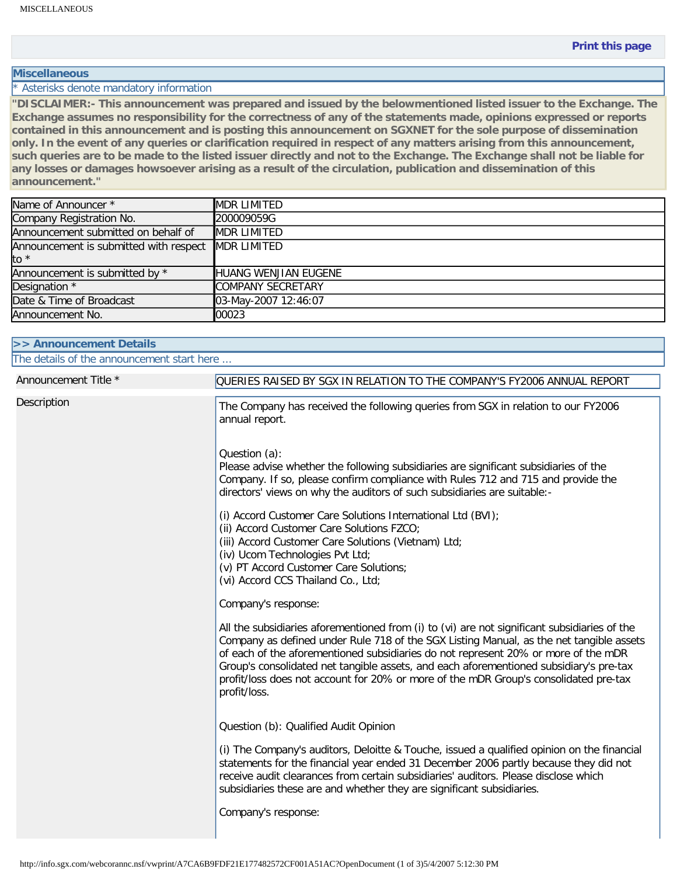## **Miscellaneous**

\* Asterisks denote mandatory information

**"DISCLAIMER:- This announcement was prepared and issued by the belowmentioned listed issuer to the Exchange. The Exchange assumes no responsibility for the correctness of any of the statements made, opinions expressed or reports contained in this announcement and is posting this announcement on SGXNET for the sole purpose of dissemination only. In the event of any queries or clarification required in respect of any matters arising from this announcement, such queries are to be made to the listed issuer directly and not to the Exchange. The Exchange shall not be liable for any losses or damages howsoever arising as a result of the circulation, publication and dissemination of this announcement."** 

| Name of Announcer *                                | <b>MDR LIMITED</b>       |
|----------------------------------------------------|--------------------------|
| Company Registration No.                           | 200009059G               |
| Announcement submitted on behalf of                | <b>MDR LIMITED</b>       |
| Announcement is submitted with respect MDR LIMITED |                          |
| to *                                               |                          |
| Announcement is submitted by *                     | HUANG WENJIAN EUGENE     |
| Designation *                                      | <b>COMPANY SECRETARY</b> |
| Date & Time of Broadcast                           | 03-May-2007 12:46:07     |
| Announcement No.                                   | 00023                    |

| >> Announcement Details                    |                                                                                                                                                                                                                                                                                                                                                                                                                                                                                 |  |
|--------------------------------------------|---------------------------------------------------------------------------------------------------------------------------------------------------------------------------------------------------------------------------------------------------------------------------------------------------------------------------------------------------------------------------------------------------------------------------------------------------------------------------------|--|
| The details of the announcement start here |                                                                                                                                                                                                                                                                                                                                                                                                                                                                                 |  |
| Announcement Title *                       | QUERIES RAISED BY SGX IN RELATION TO THE COMPANY'S FY2006 ANNUAL REPORT                                                                                                                                                                                                                                                                                                                                                                                                         |  |
| Description                                | The Company has received the following queries from SGX in relation to our FY2006<br>annual report.                                                                                                                                                                                                                                                                                                                                                                             |  |
|                                            | Question (a):<br>Please advise whether the following subsidiaries are significant subsidiaries of the<br>Company. If so, please confirm compliance with Rules 712 and 715 and provide the<br>directors' views on why the auditors of such subsidiaries are suitable:-                                                                                                                                                                                                           |  |
|                                            | (i) Accord Customer Care Solutions International Ltd (BVI);<br>(ii) Accord Customer Care Solutions FZCO;<br>(iii) Accord Customer Care Solutions (Vietnam) Ltd;<br>(iv) Ucom Technologies Pvt Ltd;<br>(v) PT Accord Customer Care Solutions;<br>(vi) Accord CCS Thailand Co., Ltd;                                                                                                                                                                                              |  |
|                                            | Company's response:                                                                                                                                                                                                                                                                                                                                                                                                                                                             |  |
|                                            | All the subsidiaries aforementioned from (i) to (vi) are not significant subsidiaries of the<br>Company as defined under Rule 718 of the SGX Listing Manual, as the net tangible assets<br>of each of the aforementioned subsidiaries do not represent 20% or more of the mDR<br>Group's consolidated net tangible assets, and each aforementioned subsidiary's pre-tax<br>profit/loss does not account for 20% or more of the mDR Group's consolidated pre-tax<br>profit/loss. |  |
|                                            | Question (b): Qualified Audit Opinion                                                                                                                                                                                                                                                                                                                                                                                                                                           |  |
|                                            | (i) The Company's auditors, Deloitte & Touche, issued a qualified opinion on the financial<br>statements for the financial year ended 31 December 2006 partly because they did not<br>receive audit clearances from certain subsidiaries' auditors. Please disclose which<br>subsidiaries these are and whether they are significant subsidiaries.                                                                                                                              |  |
|                                            | Company's response:                                                                                                                                                                                                                                                                                                                                                                                                                                                             |  |

```
http://info.sgx.com/webcorannc.nsf/vwprint/A7CA6B9FDF21E177482572CF001A51AC?OpenDocument (1 of 3)5/4/2007 5:12:30 PM
```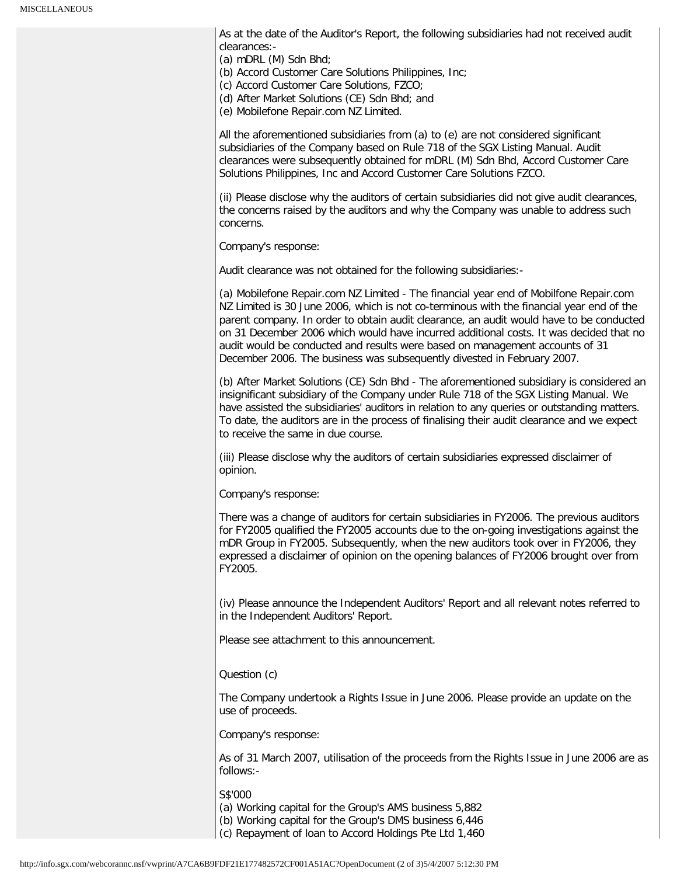As at the date of the Auditor's Report, the following subsidiaries had not received audit clearances:-

(a) mDRL (M) Sdn Bhd;

(b) Accord Customer Care Solutions Philippines, Inc;

(c) Accord Customer Care Solutions, FZCO;

(d) After Market Solutions (CE) Sdn Bhd; and

(e) Mobilefone Repair.com NZ Limited.

All the aforementioned subsidiaries from (a) to (e) are not considered significant subsidiaries of the Company based on Rule 718 of the SGX Listing Manual. Audit clearances were subsequently obtained for mDRL (M) Sdn Bhd, Accord Customer Care Solutions Philippines, Inc and Accord Customer Care Solutions FZCO.

(ii) Please disclose why the auditors of certain subsidiaries did not give audit clearances, the concerns raised by the auditors and why the Company was unable to address such concerns.

Company's response:

Audit clearance was not obtained for the following subsidiaries:-

(a) Mobilefone Repair.com NZ Limited - The financial year end of Mobilfone Repair.com NZ Limited is 30 June 2006, which is not co-terminous with the financial year end of the parent company. In order to obtain audit clearance, an audit would have to be conducted on 31 December 2006 which would have incurred additional costs. It was decided that no audit would be conducted and results were based on management accounts of 31 December 2006. The business was subsequently divested in February 2007.

(b) After Market Solutions (CE) Sdn Bhd - The aforementioned subsidiary is considered an insignificant subsidiary of the Company under Rule 718 of the SGX Listing Manual. We have assisted the subsidiaries' auditors in relation to any queries or outstanding matters. To date, the auditors are in the process of finalising their audit clearance and we expect to receive the same in due course.

(iii) Please disclose why the auditors of certain subsidiaries expressed disclaimer of opinion.

Company's response:

There was a change of auditors for certain subsidiaries in FY2006. The previous auditors for FY2005 qualified the FY2005 accounts due to the on-going investigations against the mDR Group in FY2005. Subsequently, when the new auditors took over in FY2006, they expressed a disclaimer of opinion on the opening balances of FY2006 brought over from FY2005.

(iv) Please announce the Independent Auditors' Report and all relevant notes referred to in the Independent Auditors' Report.

Please see attachment to this announcement.

## Question (c)

The Company undertook a Rights Issue in June 2006. Please provide an update on the use of proceeds.

Company's response:

As of 31 March 2007, utilisation of the proceeds from the Rights Issue in June 2006 are as follows:-

S\$'000

(a) Working capital for the Group's AMS business 5,882

(b) Working capital for the Group's DMS business 6,446

(c) Repayment of loan to Accord Holdings Pte Ltd 1,460